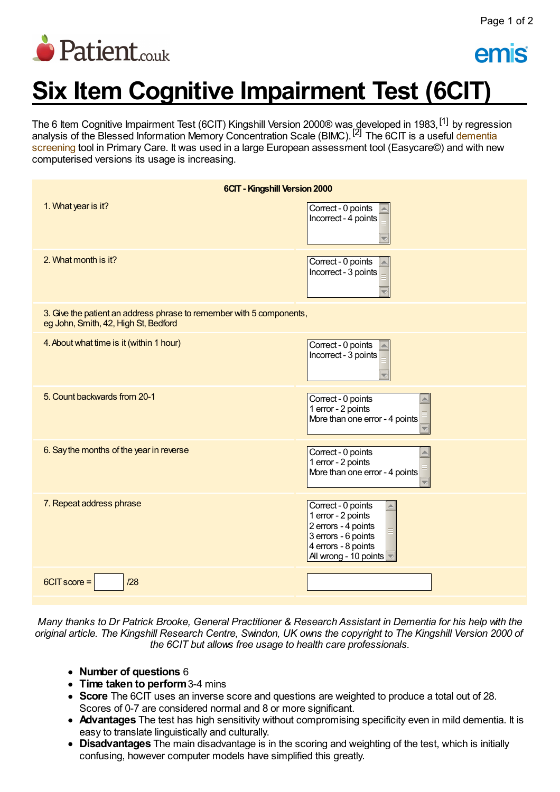

## emis

## **Six Item Cognitive Impairment Test (6CIT)**

The 6 Item Cognitive Impairment Test (6CIT) Kingshill Version 2000® was developed in 1983, <sup>[1]</sup> by regression analysis of the Blessed Information Memory [Concentration](http://www.patient.co.uk/search.asp?searchterm=DEMENTIA+SCREENING) Scale (BIMC).<sup>[2]</sup> The 6CIT is a useful dementia screening tool in Primary Care. It was used in a large European assessment tool (Easycare©) and with new computerised versions its usage is increasing.

| 6CIT - Kingshill Version 2000                                                                                |                                                                                                                                                             |  |
|--------------------------------------------------------------------------------------------------------------|-------------------------------------------------------------------------------------------------------------------------------------------------------------|--|
| 1. What year is it?                                                                                          | Correct - 0 points<br>Incorrect - 4 points                                                                                                                  |  |
| 2. What month is it?                                                                                         | Correct - 0 points<br>Incorrect - 3 points                                                                                                                  |  |
| 3. Give the patient an address phrase to remember with 5 components,<br>eg John, Smith, 42, High St, Bedford |                                                                                                                                                             |  |
| 4. About what time is it (within 1 hour)                                                                     | Correct - 0 points<br>Incorrect - 3 points                                                                                                                  |  |
| 5. Count backwards from 20-1                                                                                 | Correct - 0 points<br>1 error - 2 points<br>More than one error - 4 points                                                                                  |  |
| 6. Say the months of the year in reverse                                                                     | Correct - 0 points<br>1 error - 2 points<br>More than one error - 4 points<br>$\overline{\mathbf{v}}$                                                       |  |
| 7. Repeat address phrase                                                                                     | Correct - 0 points<br>1 error - 2 points<br>2 errors - 4 points<br>3 errors - 6 points<br>4 errors - 8 points<br>All wrong - 10 points $\overline{\bullet}$ |  |
| /28<br>6CIT score =                                                                                          |                                                                                                                                                             |  |

Many thanks to Dr Patrick Brooke, General Practitioner & Research Assistant in Dementia for his help with the original article. The Kingshill Research Centre, Swindon, UK owns the copyright to The Kingshill Version 2000 of *the 6CIT but allows free usage to health care professionals.*

- **Number of questions** 6
- **Time taken to perform**3-4 mins
- **Score** The 6CIT uses an inverse score and questions are weighted to produce a total out of 28. Scores of 0-7 are considered normal and 8 or more significant.
- **Advantages** The test has high sensitivity without compromising specificity even in mild dementia. It is easy to translate linguistically and culturally.
- **Disadvantages** The main disadvantage is in the scoring and weighting of the test, which is initially confusing, however computer models have simplified this greatly.